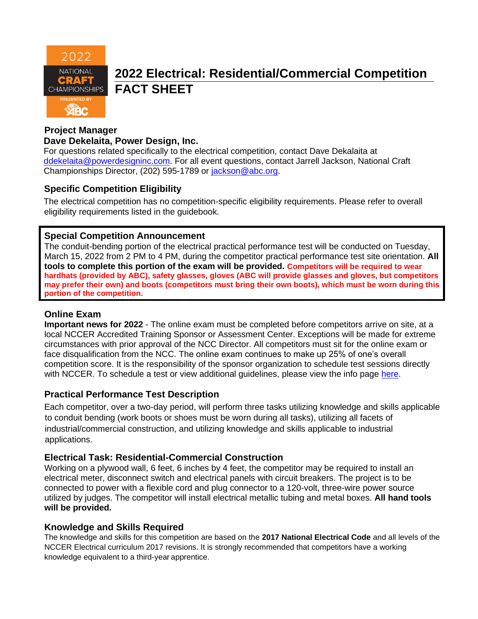

# **2022 Electrical: Residential/Commercial Competition FACT SHEET**

#### **Project Manager**

#### **Dave Dekelaita, Power Design, Inc.**

For questions related specifically to the electrical competition, contact Dave Dekalaita at [ddekelaita@powerdesigninc.com.](mailto:ddekelaita@powerdesigninc.com) For all event questions, contact Jarrell Jackson, National Craft Championships Director, (202) 595-1789 or [jackson@abc.org.](mailto:jackson@abc.org)

### **Specific Competition Eligibility**

The electrical competition has no competition-specific eligibility requirements. Please refer to overall eligibility requirements listed in the guidebook.

#### **Special Competition Announcement**

The conduit-bending portion of the electrical practical performance test will be conducted on Tuesday, March 15, 2022 from 2 PM to 4 PM, during the competitor practical performance test site orientation. **All tools to complete this portion of the exam will be provided. Competitors will be required to wear hardhats (provided by ABC), safety glasses, gloves (ABC will provide glasses and gloves, but competitors may prefer their own) and boots (competitors must bring their own boots), which must be worn during this portion of the competition.**

#### **Online Exam**

**Important news for 2022** - The online exam must be completed before competitors arrive on site, at a local NCCER Accredited Training Sponsor or Assessment Center. Exceptions will be made for extreme circumstances with prior approval of the NCC Director. All competitors must sit for the online exam or face disqualification from the NCC. The online exam continues to make up 25% of one's overall competition score. It is the responsibility of the sponsor organization to schedule test sessions directly with NCCER. To schedule a test or view additional quidelines, please view the info page [here.](https://abc.org/Portals/1/NCC/National%20Craft%20Championship%20Testing%20Overview%20and%20Registration.pdf?ver=2022-01-31-154655-600)

### **Practical Performance Test Description**

Each competitor, over a two-day period, will perform three tasks utilizing knowledge and skills applicable to conduit bending (work boots or shoes must be worn during all tasks), utilizing all facets of industrial/commercial construction, and utilizing knowledge and skills applicable to industrial applications.

### **Electrical Task: Residential-Commercial Construction**

Working on a plywood wall, 6 feet, 6 inches by 4 feet, the competitor may be required to install an electrical meter, disconnect switch and electrical panels with circuit breakers. The project is to be connected to power with a flexible cord and plug connector to a 120-volt, three-wire power source utilized by judges. The competitor will install electrical metallic tubing and metal boxes. **All hand tools will be provided.**

#### **Knowledge and Skills Required**

The knowledge and skills for this competition are based on the **2017 National Electrical Code** and all levels of the NCCER Electrical curriculum 2017 revisions. It is strongly recommended that competitors have a working knowledge equivalent to a third-year apprentice.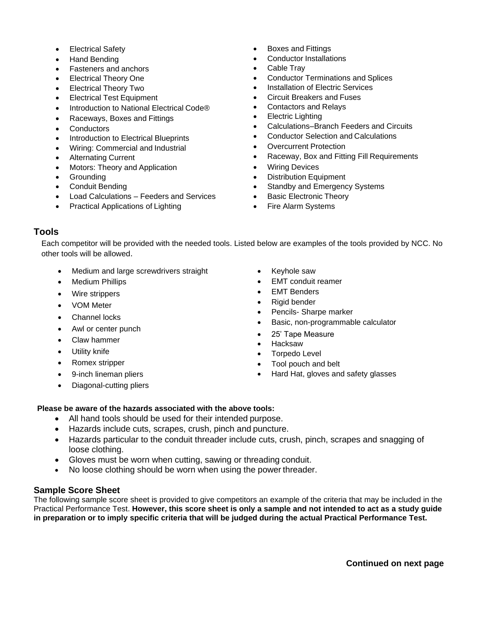- **Electrical Safety**
- Hand Bending
- Fasteners and anchors
- Electrical Theory One
- Electrical Theory Two
- Electrical Test Equipment
- Introduction to National Electrical Code®
- Raceways, Boxes and Fittings
- **Conductors**
- Introduction to Electrical Blueprints
- Wiring: Commercial and Industrial
- Alternating Current
- Motors: Theory and Application
- **Grounding**
- Conduit Bending
- Load Calculations Feeders and Services
- Practical Applications of Lighting
- Boxes and Fittings
- Conductor Installations
- Cable Trav
- Conductor Terminations and Splices
- Installation of Electric Services
- Circuit Breakers and Fuses
- Contactors and Relays
- Electric Lighting
- Calculations–Branch Feeders and Circuits
- Conductor Selection and Calculations
- **Overcurrent Protection**
- Raceway, Box and Fitting Fill Requirements
- Wiring Devices
- **Distribution Equipment**
- Standby and Emergency Systems
- Basic Electronic Theory
- Fire Alarm Systems

#### **Tools**

Each competitor will be provided with the needed tools. Listed below are examples of the tools provided by NCC. No other tools will be allowed.

- Medium and large screwdrivers straight
- **Medium Phillips**
- Wire strippers
- VOM Meter
- Channel locks
- Awl or center punch
- Claw hammer
- Utility knife
- Romex stripper
- 9-inch lineman pliers
- Diagonal-cutting pliers
- Keyhole saw
- EMT conduit reamer
- **EMT Benders**
- Rigid bender
- Pencils- Sharpe marker
- Basic, non-programmable calculator
- 25' Tape Measure
- Hacksaw
- Torpedo Level
- Tool pouch and belt
- Hard Hat, gloves and safety glasses

#### **Please be aware of the hazards associated with the above tools:**

- All hand tools should be used for their intended purpose.
- Hazards include cuts, scrapes, crush, pinch and puncture.
- Hazards particular to the conduit threader include cuts, crush, pinch, scrapes and snagging of loose clothing.
- Gloves must be worn when cutting, sawing or threading conduit.
- No loose clothing should be worn when using the power threader.

#### **Sample Score Sheet**

The following sample score sheet is provided to give competitors an example of the criteria that may be included in the Practical Performance Test. **However, this score sheet is only a sample and not intended to act as a study guide in preparation or to imply specific criteria that will be judged during the actual Practical Performance Test.**